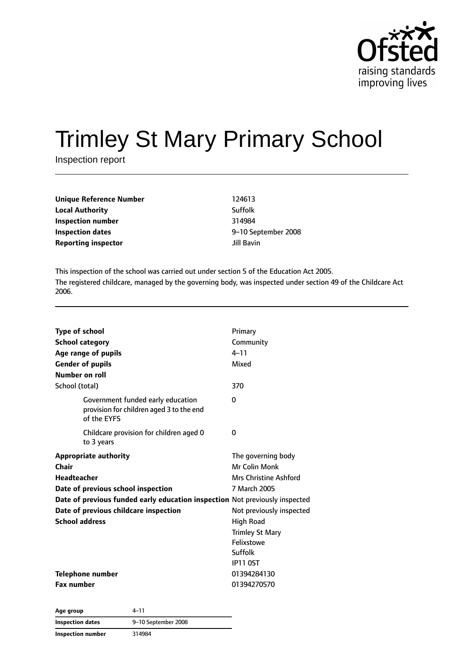

# Trimley St Mary Primary School

Inspection report

| Unique Reference Number    | 124613              |
|----------------------------|---------------------|
| <b>Local Authority</b>     | Suffolk             |
| Inspection number          | 314984              |
| <b>Inspection dates</b>    | 9-10 September 2008 |
| <b>Reporting inspector</b> | Jill Bavin          |

This inspection of the school was carried out under section 5 of the Education Act 2005. The registered childcare, managed by the governing body, was inspected under section 49 of the Childcare Act 2006.

| <b>Type of school</b><br><b>School category</b><br>Age range of pupils<br><b>Gender of pupils</b><br>Number on roll<br>School (total)                                                                                                              | Primary<br>Community<br>$4 - 11$<br>Mixed<br>370                                                                                                                                                          |
|----------------------------------------------------------------------------------------------------------------------------------------------------------------------------------------------------------------------------------------------------|-----------------------------------------------------------------------------------------------------------------------------------------------------------------------------------------------------------|
| Government funded early education<br>provision for children aged 3 to the end<br>of the EYFS                                                                                                                                                       | 0                                                                                                                                                                                                         |
| Childcare provision for children aged 0<br>to 3 years                                                                                                                                                                                              | 0                                                                                                                                                                                                         |
| <b>Appropriate authority</b><br>Chair<br><b>Headteacher</b><br>Date of previous school inspection<br>Date of previous funded early education inspection Not previously inspected<br>Date of previous childcare inspection<br><b>School address</b> | The governing body<br>Mr Colin Monk<br><b>Mrs Christine Ashford</b><br>7 March 2005<br>Not previously inspected<br><b>High Road</b><br><b>Trimley St Mary</b><br>Felixstowe<br>Suffolk<br><b>IP11 0ST</b> |
| Telephone number<br><b>Fax number</b>                                                                                                                                                                                                              | 01394284130<br>01394270570                                                                                                                                                                                |

| Age group                | 4–11                |
|--------------------------|---------------------|
| Inspection dates         | 9-10 September 2008 |
| <b>Inspection number</b> | 314984              |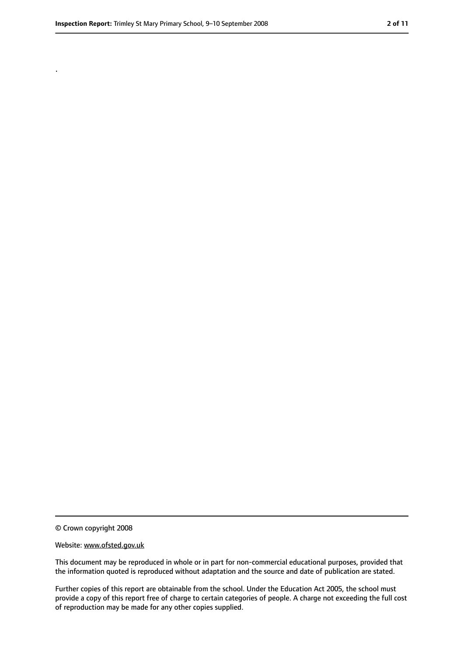.

<sup>©</sup> Crown copyright 2008

Website: www.ofsted.gov.uk

This document may be reproduced in whole or in part for non-commercial educational purposes, provided that the information quoted is reproduced without adaptation and the source and date of publication are stated.

Further copies of this report are obtainable from the school. Under the Education Act 2005, the school must provide a copy of this report free of charge to certain categories of people. A charge not exceeding the full cost of reproduction may be made for any other copies supplied.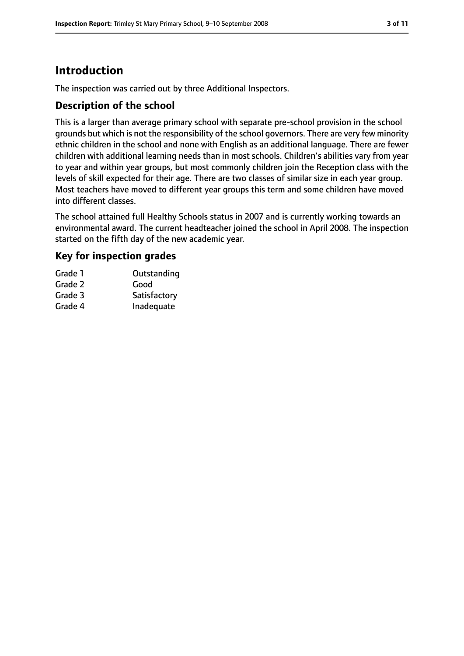# **Introduction**

The inspection was carried out by three Additional Inspectors.

#### **Description of the school**

This is a larger than average primary school with separate pre-school provision in the school grounds but which is not the responsibility of the school governors. There are very few minority ethnic children in the school and none with English as an additional language. There are fewer children with additional learning needs than in most schools. Children's abilities vary from year to year and within year groups, but most commonly children join the Reception class with the levels of skill expected for their age. There are two classes of similar size in each year group. Most teachers have moved to different year groups this term and some children have moved into different classes.

The school attained full Healthy Schools status in 2007 and is currently working towards an environmental award. The current headteacher joined the school in April 2008. The inspection started on the fifth day of the new academic year.

#### **Key for inspection grades**

| Grade 1 | Outstanding  |
|---------|--------------|
| Grade 2 | Good         |
| Grade 3 | Satisfactory |
| Grade 4 | Inadequate   |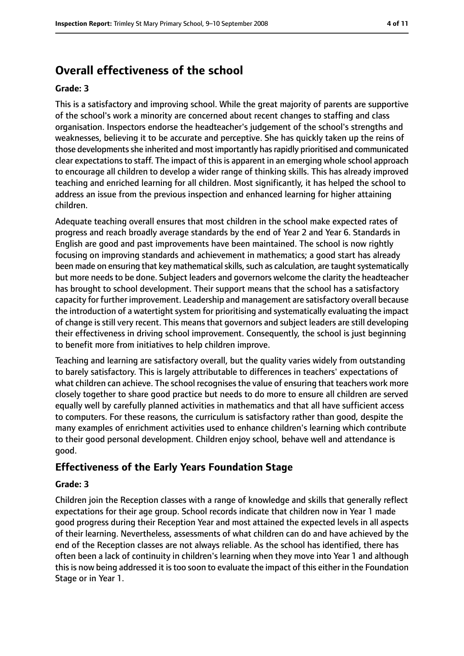# **Overall effectiveness of the school**

#### **Grade: 3**

This is a satisfactory and improving school. While the great majority of parents are supportive of the school's work a minority are concerned about recent changes to staffing and class organisation. Inspectors endorse the headteacher's judgement of the school's strengths and weaknesses, believing it to be accurate and perceptive. She has quickly taken up the reins of those developments she inherited and most importantly has rapidly prioritised and communicated clear expectations to staff. The impact of this is apparent in an emerging whole school approach to encourage all children to develop a wider range of thinking skills. This has already improved teaching and enriched learning for all children. Most significantly, it has helped the school to address an issue from the previous inspection and enhanced learning for higher attaining children.

Adequate teaching overall ensures that most children in the school make expected rates of progress and reach broadly average standards by the end of Year 2 and Year 6. Standards in English are good and past improvements have been maintained. The school is now rightly focusing on improving standards and achievement in mathematics; a good start has already been made on ensuring that key mathematical skills, such as calculation, are taught systematically but more needs to be done. Subject leaders and governors welcome the clarity the headteacher has brought to school development. Their support means that the school has a satisfactory capacity for further improvement. Leadership and management are satisfactory overall because the introduction of a watertight system for prioritising and systematically evaluating the impact of change is still very recent. This means that governors and subject leaders are still developing their effectiveness in driving school improvement. Consequently, the school is just beginning to benefit more from initiatives to help children improve.

Teaching and learning are satisfactory overall, but the quality varies widely from outstanding to barely satisfactory. This is largely attributable to differences in teachers' expectations of what children can achieve. The school recognises the value of ensuring that teachers work more closely together to share good practice but needs to do more to ensure all children are served equally well by carefully planned activities in mathematics and that all have sufficient access to computers. For these reasons, the curriculum is satisfactory rather than good, despite the many examples of enrichment activities used to enhance children's learning which contribute to their good personal development. Children enjoy school, behave well and attendance is good.

#### **Effectiveness of the Early Years Foundation Stage**

#### **Grade: 3**

Children join the Reception classes with a range of knowledge and skills that generally reflect expectations for their age group. School records indicate that children now in Year 1 made good progress during their Reception Year and most attained the expected levels in all aspects of their learning. Nevertheless, assessments of what children can do and have achieved by the end of the Reception classes are not always reliable. As the school has identified, there has often been a lack of continuity in children's learning when they move into Year 1 and although thisis now being addressed it istoo soon to evaluate the impact of this either in the Foundation Stage or in Year 1.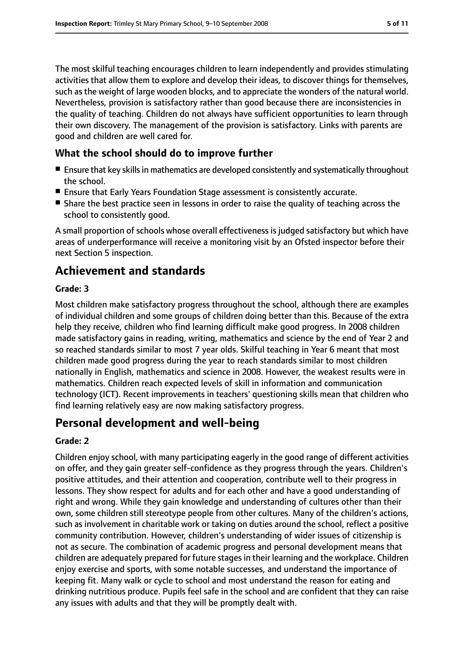The most skilful teaching encourages children to learn independently and provides stimulating activities that allow them to explore and develop their ideas, to discover things for themselves, such as the weight of large wooden blocks, and to appreciate the wonders of the natural world. Nevertheless, provision is satisfactory rather than good because there are inconsistencies in the quality of teaching. Children do not always have sufficient opportunities to learn through their own discovery. The management of the provision is satisfactory. Links with parents are good and children are well cared for.

#### **What the school should do to improve further**

- Ensure that key skills in mathematics are developed consistently and systematically throughout the school.
- Ensure that Early Years Foundation Stage assessment is consistently accurate.
- Share the best practice seen in lessons in order to raise the quality of teaching across the school to consistently good.

A small proportion of schools whose overall effectiveness is judged satisfactory but which have areas of underperformance will receive a monitoring visit by an Ofsted inspector before their next Section 5 inspection.

# **Achievement and standards**

#### **Grade: 3**

Most children make satisfactory progress throughout the school, although there are examples of individual children and some groups of children doing better than this. Because of the extra help they receive, children who find learning difficult make good progress. In 2008 children made satisfactory gains in reading, writing, mathematics and science by the end of Year 2 and so reached standards similar to most 7 year olds. Skilful teaching in Year 6 meant that most children made good progress during the year to reach standards similar to most children nationally in English, mathematics and science in 2008. However, the weakest results were in mathematics. Children reach expected levels of skill in information and communication technology (ICT). Recent improvements in teachers' questioning skills mean that children who find learning relatively easy are now making satisfactory progress.

## **Personal development and well-being**

#### **Grade: 2**

Children enjoy school, with many participating eagerly in the good range of different activities on offer, and they gain greater self-confidence as they progress through the years. Children's positive attitudes, and their attention and cooperation, contribute well to their progress in lessons. They show respect for adults and for each other and have a good understanding of right and wrong. While they gain knowledge and understanding of cultures other than their own, some children still stereotype people from other cultures. Many of the children's actions, such as involvement in charitable work or taking on duties around the school, reflect a positive community contribution. However, children's understanding of wider issues of citizenship is not as secure. The combination of academic progress and personal development means that children are adequately prepared for future stages in their learning and the workplace. Children enjoy exercise and sports, with some notable successes, and understand the importance of keeping fit. Many walk or cycle to school and most understand the reason for eating and drinking nutritious produce. Pupils feel safe in the school and are confident that they can raise any issues with adults and that they will be promptly dealt with.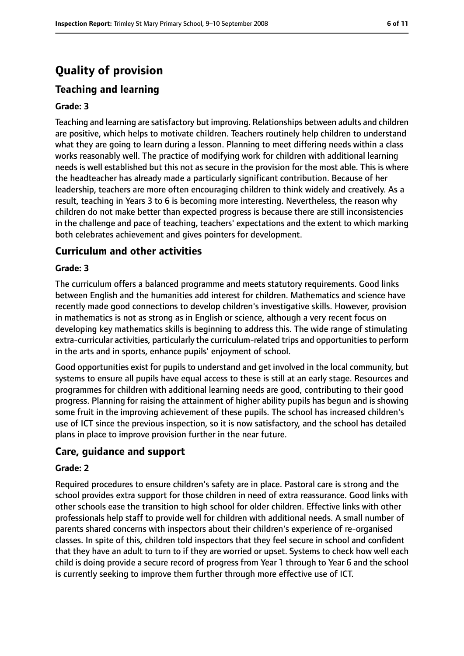# **Quality of provision**

#### **Teaching and learning**

#### **Grade: 3**

Teaching and learning are satisfactory but improving. Relationships between adults and children are positive, which helps to motivate children. Teachers routinely help children to understand what they are going to learn during a lesson. Planning to meet differing needs within a class works reasonably well. The practice of modifying work for children with additional learning needs is well established but this not as secure in the provision for the most able. This is where the headteacher has already made a particularly significant contribution. Because of her leadership, teachers are more often encouraging children to think widely and creatively. As a result, teaching in Years 3 to 6 is becoming more interesting. Nevertheless, the reason why children do not make better than expected progress is because there are still inconsistencies in the challenge and pace of teaching, teachers' expectations and the extent to which marking both celebrates achievement and gives pointers for development.

#### **Curriculum and other activities**

#### **Grade: 3**

The curriculum offers a balanced programme and meets statutory requirements. Good links between English and the humanities add interest for children. Mathematics and science have recently made good connections to develop children's investigative skills. However, provision in mathematics is not as strong as in English or science, although a very recent focus on developing key mathematics skills is beginning to address this. The wide range of stimulating extra-curricular activities, particularly the curriculum-related trips and opportunities to perform in the arts and in sports, enhance pupils' enjoyment of school.

Good opportunities exist for pupils to understand and get involved in the local community, but systems to ensure all pupils have equal access to these is still at an early stage. Resources and programmes for children with additional learning needs are good, contributing to their good progress. Planning for raising the attainment of higher ability pupils has begun and is showing some fruit in the improving achievement of these pupils. The school has increased children's use of ICT since the previous inspection, so it is now satisfactory, and the school has detailed plans in place to improve provision further in the near future.

#### **Care, guidance and support**

#### **Grade: 2**

Required procedures to ensure children's safety are in place. Pastoral care is strong and the school provides extra support for those children in need of extra reassurance. Good links with other schools ease the transition to high school for older children. Effective links with other professionals help staff to provide well for children with additional needs. A small number of parents shared concerns with inspectors about their children's experience of re-organised classes. In spite of this, children told inspectors that they feel secure in school and confident that they have an adult to turn to if they are worried or upset. Systems to check how well each child is doing provide a secure record of progress from Year 1 through to Year 6 and the school is currently seeking to improve them further through more effective use of ICT.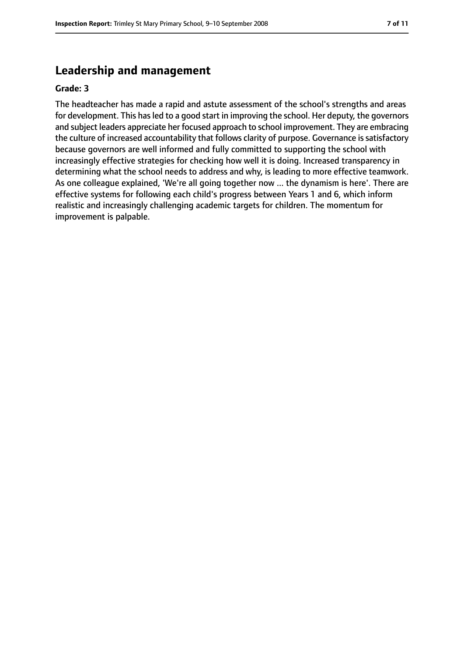#### **Leadership and management**

#### **Grade: 3**

The headteacher has made a rapid and astute assessment of the school's strengths and areas for development. This has led to a good start in improving the school. Her deputy, the governors and subject leaders appreciate her focused approach to school improvement. They are embracing the culture of increased accountability that follows clarity of purpose. Governance is satisfactory because governors are well informed and fully committed to supporting the school with increasingly effective strategies for checking how well it is doing. Increased transparency in determining what the school needs to address and why, is leading to more effective teamwork. As one colleague explained, 'We're all going together now ... the dynamism is here'. There are effective systems for following each child's progress between Years 1 and 6, which inform realistic and increasingly challenging academic targets for children. The momentum for improvement is palpable.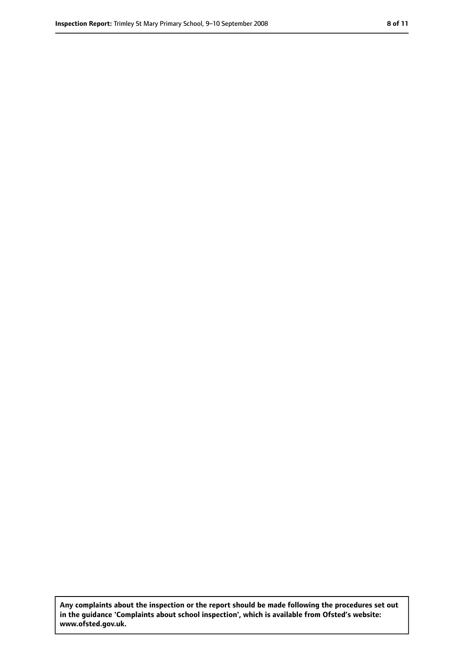**Any complaints about the inspection or the report should be made following the procedures set out in the guidance 'Complaints about school inspection', which is available from Ofsted's website: www.ofsted.gov.uk.**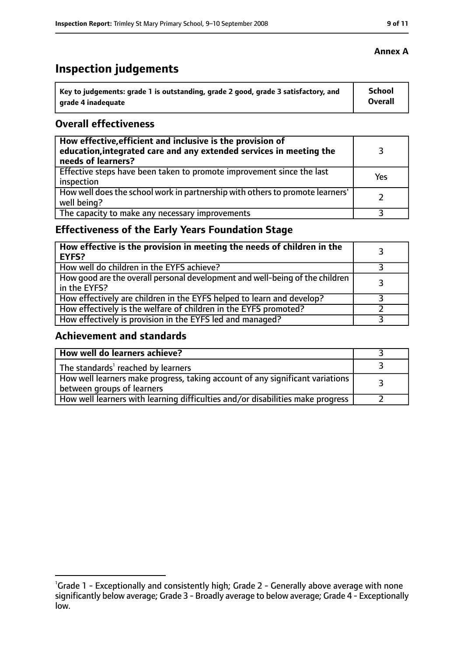# **Inspection judgements**

| Key to judgements: grade 1 is outstanding, grade 2 good, grade 3 satisfactory, and | School  |
|------------------------------------------------------------------------------------|---------|
| arade 4 inadequate                                                                 | Overall |

#### **Overall effectiveness**

| How effective, efficient and inclusive is the provision of<br>education, integrated care and any extended services in meeting the<br>needs of learners? |     |
|---------------------------------------------------------------------------------------------------------------------------------------------------------|-----|
| Effective steps have been taken to promote improvement since the last<br>inspection                                                                     | Yes |
| How well does the school work in partnership with others to promote learners'<br>well being?                                                            |     |
| The capacity to make any necessary improvements                                                                                                         |     |

### **Effectiveness of the Early Years Foundation Stage**

| How effective is the provision in meeting the needs of children in the<br>l EYFS?              |  |
|------------------------------------------------------------------------------------------------|--|
| How well do children in the EYFS achieve?                                                      |  |
| How good are the overall personal development and well-being of the children<br>I in the EYFS? |  |
| How effectively are children in the EYFS helped to learn and develop?                          |  |
| How effectively is the welfare of children in the EYFS promoted?                               |  |
| How effectively is provision in the EYFS led and managed?                                      |  |

#### **Achievement and standards**

| How well do learners achieve?                                                                               |  |
|-------------------------------------------------------------------------------------------------------------|--|
| The standards <sup>1</sup> reached by learners                                                              |  |
| How well learners make progress, taking account of any significant variations<br>between groups of learners |  |
| How well learners with learning difficulties and/or disabilities make progress                              |  |

<sup>&</sup>lt;sup>1</sup>Grade 1 - Exceptionally and consistently high; Grade 2 - Generally above average with none significantly below average; Grade 3 - Broadly average to below average; Grade 4 - Exceptionally low.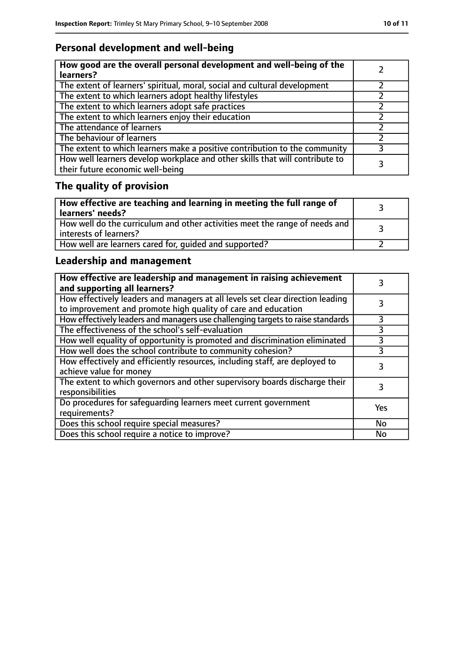# **Personal development and well-being**

| How good are the overall personal development and well-being of the<br>learners?                                 |  |
|------------------------------------------------------------------------------------------------------------------|--|
| The extent of learners' spiritual, moral, social and cultural development                                        |  |
| The extent to which learners adopt healthy lifestyles                                                            |  |
| The extent to which learners adopt safe practices                                                                |  |
| The extent to which learners enjoy their education                                                               |  |
| The attendance of learners                                                                                       |  |
| The behaviour of learners                                                                                        |  |
| The extent to which learners make a positive contribution to the community                                       |  |
| How well learners develop workplace and other skills that will contribute to<br>their future economic well-being |  |

# **The quality of provision**

| How effective are teaching and learning in meeting the full range of<br>learners' needs?              |  |
|-------------------------------------------------------------------------------------------------------|--|
| How well do the curriculum and other activities meet the range of needs and<br>interests of learners? |  |
| How well are learners cared for, quided and supported?                                                |  |

### **Leadership and management**

| How effective are leadership and management in raising achievement<br>and supporting all learners?                                              |     |
|-------------------------------------------------------------------------------------------------------------------------------------------------|-----|
| How effectively leaders and managers at all levels set clear direction leading<br>to improvement and promote high quality of care and education |     |
| How effectively leaders and managers use challenging targets to raise standards                                                                 | 3   |
| The effectiveness of the school's self-evaluation                                                                                               | 3   |
| How well equality of opportunity is promoted and discrimination eliminated                                                                      | 3   |
| How well does the school contribute to community cohesion?                                                                                      | 3   |
| How effectively and efficiently resources, including staff, are deployed to<br>achieve value for money                                          |     |
| The extent to which governors and other supervisory boards discharge their<br>responsibilities                                                  | 3   |
| Do procedures for safequarding learners meet current government<br>requirements?                                                                | Yes |
| Does this school require special measures?                                                                                                      | No  |
| Does this school require a notice to improve?                                                                                                   | No  |